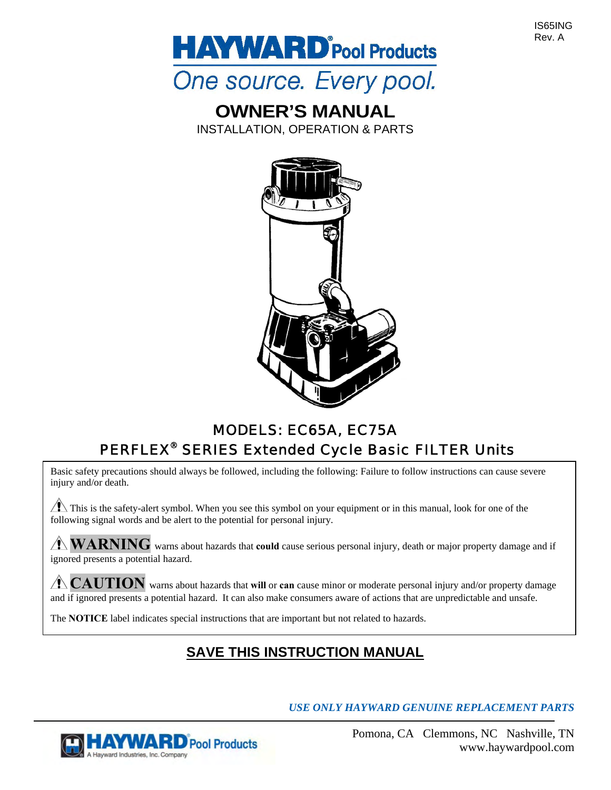IS65ING Rev. A



# **OWNER'S MANUAL**

INSTALLATION, OPERATION & PARTS



# MODELS: EC65A, EC75A PERFLEX® SERIES Extended Cycle Basic FILTER Units

Basic safety precautions should always be followed, including the following: Failure to follow instructions can cause severe injury and/or death.

 $\sqrt{\phantom{a}}\phantom{a}$  This is the safety-alert symbol. When you see this symbol on your equipment or in this manual, look for one of the following signal words and be alert to the potential for personal injury.

**WARNING** warns about hazards that **could** cause serious personal injury, death or major property damage and if ignored presents a potential hazard.

A CAUTION warns about hazards that will or **can** cause minor or moderate personal injury and/or property damage and if ignored presents a potential hazard. It can also make consumers aware of actions that are unpredictable and unsafe.

The **NOTICE** label indicates special instructions that are important but not related to hazards.

## **SAVE THIS INSTRUCTION MANUAL**

*USE ONLY HAYWARD GENUINE REPLACEMENT PARTS* 

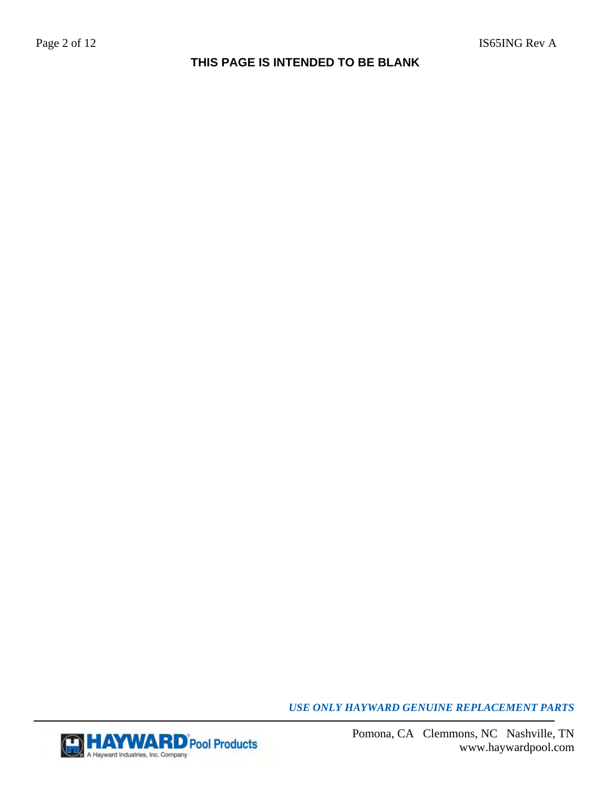## **THIS PAGE IS INTENDED TO BE BLANK**

*USE ONLY HAYWARD GENUINE REPLACEMENT PARTS* 

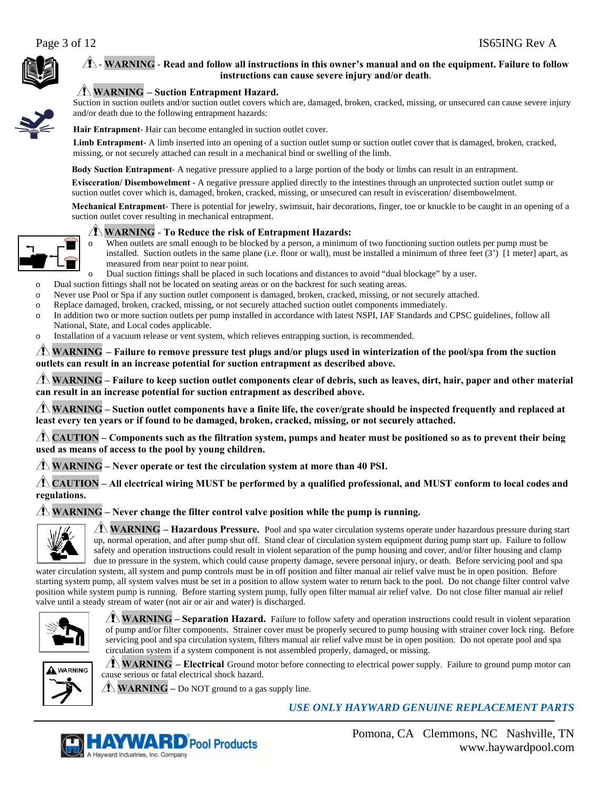

#### - **WARNING** - **Read and follow all instructions in this owner's manual and on the equipment. Failure to follow instructions can cause severe injury and/or death**.



#### **WARNING – Suction Entrapment Hazard.**

Suction in suction outlets and/or suction outlet covers which are, damaged, broken, cracked, missing, or unsecured can cause severe injury and/or death due to the following entrapment hazards:

**Hair Entrapment**- Hair can become entangled in suction outlet cover.

**Limb Entrapment**- A limb inserted into an opening of a suction outlet sump or suction outlet cover that is damaged, broken, cracked, missing, or not securely attached can result in a mechanical bind or swelling of the limb.

**Body Suction Entrapment**- A negative pressure applied to a large portion of the body or limbs can result in an entrapment.

**Evisceration/ Disembowelment** - A negative pressure applied directly to the intestines through an unprotected suction outlet sump or suction outlet cover which is, damaged, broken, cracked, missing, or unsecured can result in evisceration/ disembowelment.

**Mechanical Entrapment**- There is potential for jewelry, swimsuit, hair decorations, finger, toe or knuckle to be caught in an opening of a suction outlet cover resulting in mechanical entrapment.

#### **WARNING** - **To Reduce the risk of Entrapment Hazards:**

o When outlets are small enough to be blocked by a person, a minimum of two functioning suction outlets per pump must be installed. Suction outlets in the same plane (i.e. floor or wall), must be installed a minimum of three feet (3') [1 meter] apart, as measured from near point to near point.

- Dual suction fittings shall be placed in such locations and distances to avoid "dual blockage" by a user.
- o Dual suction fittings shall not be located on seating areas or on the backrest for such seating areas.
- o Never use Pool or Spa if any suction outlet component is damaged, broken, cracked, missing, or not securely attached.
- o Replace damaged, broken, cracked, missing, or not securely attached suction outlet components immediately.
- o In addition two or more suction outlets per pump installed in accordance with latest NSPI, IAF Standards and CPSC guidelines, follow all National, State, and Local codes applicable.
- o Installation of a vacuum release or vent system, which relieves entrapping suction, is recommended.

 **WARNING – Failure to remove pressure test plugs and/or plugs used in winterization of the pool/spa from the suction outlets can result in an increase potential for suction entrapment as described above.**

 **WARNING – Failure to keep suction outlet components clear of debris, such as leaves, dirt, hair, paper and other material can result in an increase potential for suction entrapment as described above.**

 **WARNING – Suction outlet components have a finite life, the cover/grate should be inspected frequently and replaced at least every ten years or if found to be damaged, broken, cracked, missing, or not securely attached.**

 **CAUTION – Components such as the filtration system, pumps and heater must be positioned so as to prevent their being used as means of access to the pool by young children.**

**WARNING – Never operate or test the circulation system at more than 40 PSI.**

**CAUTION – All electrical wiring MUST be performed by a qualified professional, and MUST conform to local codes and regulations.**

 $\Lambda$  WARNING – Never change the filter control valve position while the pump is running.



**WARNING – Hazardous Pressure.** Pool and spa water circulation systems operate under hazardous pressure during start up, normal operation, and after pump shut off. Stand clear of circulation system equipment during pump start up. Failure to follow safety and operation instructions could result in violent separation of the pump housing and cover, and/or filter housing and clamp due to pressure in the system, which could cause property damage, severe personal injury, or death. Before servicing pool and spa

water circulation system, all system and pump controls must be in off position and filter manual air relief valve must be in open position. Before starting system pump, all system valves must be set in a position to allow system water to return back to the pool. Do not change filter control valve position while system pump is running. Before starting system pump, fully open filter manual air relief valve. Do not close filter manual air relief valve until a steady stream of water (not air or air and water) is discharged.



**WARNING – Separation Hazard.** Failure to follow safety and operation instructions could result in violent separation of pump and/or filter components. Strainer cover must be properly secured to pump housing with strainer cover lock ring. Before servicing pool and spa circulation system, filters manual air relief valve must be in open position. Do not operate pool and spa circulation system if a system component is not assembled properly, damaged, or missing.



**WARNING – Electrical** Ground motor before connecting to electrical power supply. Failure to ground pump motor can cause serious or fatal electrical shock hazard.

**WARNING** – Do NOT ground to a gas supply line.

*USE ONLY HAYWARD GENUINE REPLACEMENT PARTS* 

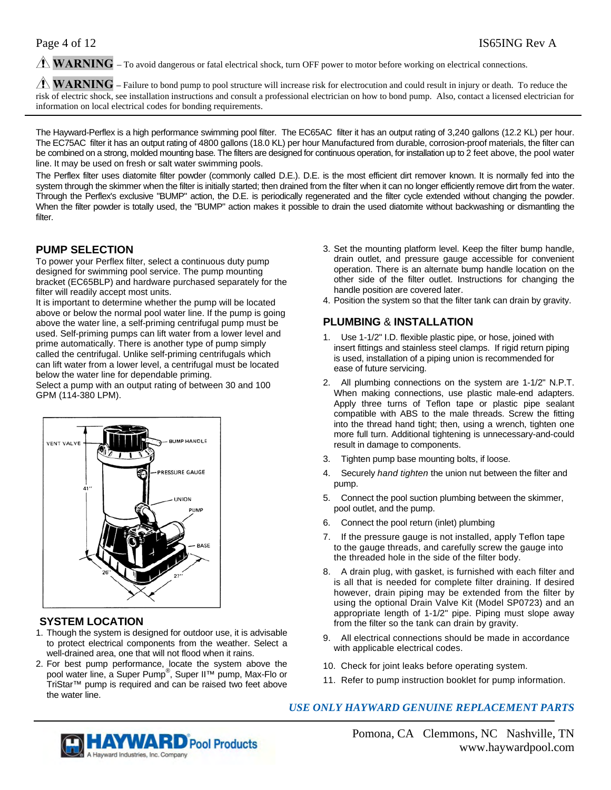**WARNING** – To avoid dangerous or fatal electrical shock, turn OFF power to motor before working on electrical connections.

**WARNING** – Failure to bond pump to pool structure will increase risk for electrocution and could result in injury or death. To reduce the risk of electric shock, see installation instructions and consult a professional electrician on how to bond pump. Also, contact a licensed electrician for information on local electrical codes for bonding requirements.

The Hayward-Perflex is a high performance swimming pool filter. The EC65AC filter it has an output rating of 3,240 gallons (12.2 KL) per hour. The EC75AC filter it has an output rating of 4800 gallons (18.0 KL) per hour Manufactured from durable, corrosion-proof materials, the filter can be combined on a strong, molded mounting base. The filters are designed for continuous operation, for installation up to 2 feet above, the pool water line. It may be used on fresh or salt water swimming pools.

The Perflex filter uses diatomite filter powder (commonly called D.E.). D.E. is the most efficient dirt remover known. It is normally fed into the system through the skimmer when the filter is initially started; then drained from the filter when it can no longer efficiently remove dirt from the water. Through the Perflex's exclusive "BUMP" action, the D.E. is periodically regenerated and the filter cycle extended without changing the powder. When the filter powder is totally used, the "BUMP" action makes it possible to drain the used diatomite without backwashing or dismantling the filter.

#### **PUMP SELECTION**

To power your Perflex filter, select a continuous duty pump designed for swimming pool service. The pump mounting bracket (EC65BLP) and hardware purchased separately for the filter will readily accept most units.

It is important to determine whether the pump will be located above or below the normal pool water line. If the pump is going above the water line, a self-priming centrifugal pump must be used. Self-priming pumps can lift water from a lower level and prime automatically. There is another type of pump simply called the centrifugal. Unlike self-priming centrifugals which can lift water from a lower level, a centrifugal must be located below the water line for dependable priming.

Select a pump with an output rating of between 30 and 100 GPM (114-380 LPM).



### **SYSTEM LOCATION**

- 1. Though the system is designed for outdoor use, it is advisable to protect electrical components from the weather. Select a well-drained area, one that will not flood when it rains.
- 2. For best pump performance, locate the system above the pool water line, a Super Pump<sup>®</sup>, Super II™ pump, Max-Flo or TriStar™ pump is required and can be raised two feet above the water line.
- 3. Set the mounting platform level. Keep the filter bump handle, drain outlet, and pressure gauge accessible for convenient operation. There is an alternate bump handle location on the other side of the filter outlet. Instructions for changing the handle position are covered later.
- 4. Position the system so that the filter tank can drain by gravity.

#### **PLUMBING** & **INSTALLATION**

- 1. Use 1-1/2" I.D. flexible plastic pipe, or hose, joined with insert fittings and stainless steel clamps. If rigid return piping is used, installation of a piping union is recommended for ease of future servicing.
- 2. All plumbing connections on the system are 1-1/2" N.P.T. When making connections, use plastic male-end adapters. Apply three turns of Teflon tape or plastic pipe sealant compatible with ABS to the male threads. Screw the fitting into the thread hand tight; then, using a wrench, tighten one more full turn. Additional tightening is unnecessary-and-could result in damage to components.
- 3. Tighten pump base mounting bolts, if loose.
- 4. Securely *hand tighten* the union nut between the filter and pump.
- 5. Connect the pool suction plumbing between the skimmer, pool outlet, and the pump.
- 6. Connect the pool return (inlet) plumbing
- 7. If the pressure gauge is not installed, apply Teflon tape to the gauge threads, and carefully screw the gauge into the threaded hole in the side of the filter body.
- 8. A drain plug, with gasket, is furnished with each filter and is all that is needed for complete filter draining. If desired however, drain piping may be extended from the filter by using the optional Drain Valve Kit (Model SP0723) and an appropriate length of 1-1/2" pipe. Piping must slope away from the filter so the tank can drain by gravity.
- 9. All electrical connections should be made in accordance with applicable electrical codes.
- 10. Check for joint leaks before operating system.
- 11. Refer to pump instruction booklet for pump information.

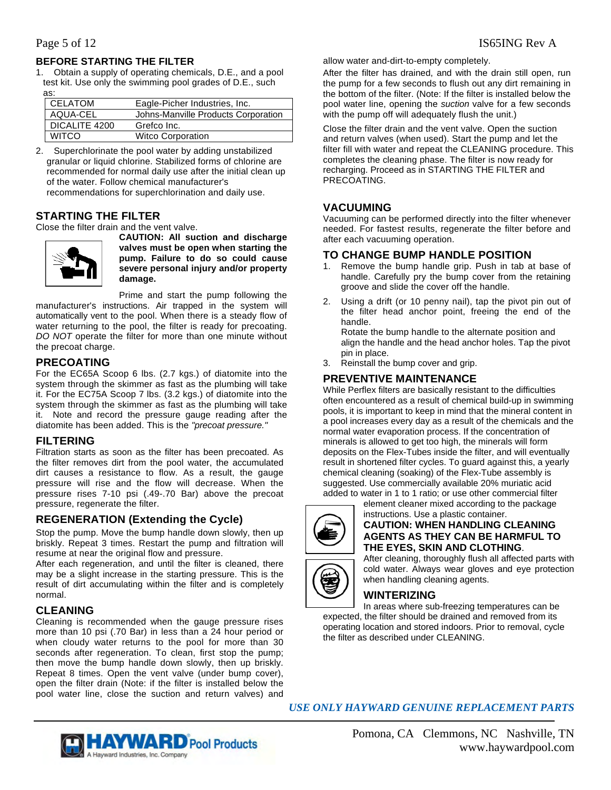#### **BEFORE STARTING THE FILTER**

1. Obtain a supply of operating chemicals, D.E., and a pool test kit. Use only the swimming pool grades of D.E., such as:

| <b>CELATOM</b> | Eagle-Picher Industries, Inc.       |
|----------------|-------------------------------------|
| AQUA-CEL       | Johns-Manville Products Corporation |
| DICALITE 4200  | Grefco Inc.                         |
| <b>WITCO</b>   | <b>Witco Corporation</b>            |

2. Superchlorinate the pool water by adding unstabilized granular or liquid chlorine. Stabilized forms of chlorine are recommended for normal daily use after the initial clean up of the water. Follow chemical manufacturer's recommendations for superchlorination and daily use.

#### **STARTING THE FILTER**

Close the filter drain and the vent valve.



**CAUTION: All suction and discharge valves must be open when starting the pump. Failure to do so could cause severe personal injury and/or property damage.** 

Prime and start the pump following the manufacturer's instructions. Air trapped in the system will automatically vent to the pool. When there is a steady flow of water returning to the pool, the filter is ready for precoating. *DO NOT* operate the filter for more than one minute without the precoat charge.

#### **PRECOATING**

For the EC65A Scoop 6 lbs. (2.7 kgs.) of diatomite into the system through the skimmer as fast as the plumbing will take it. For the EC75A Scoop 7 lbs. (3.2 kgs.) of diatomite into the system through the skimmer as fast as the plumbing will take it. Note and record the pressure gauge reading after the diatomite has been added. This is the *"precoat pressure."* 

#### **FILTERING**

Filtration starts as soon as the filter has been precoated. As the filter removes dirt from the pool water, the accumulated dirt causes a resistance to flow. As a result, the gauge pressure will rise and the flow will decrease. When the pressure rises 7-10 psi (.49-.70 Bar) above the precoat pressure, regenerate the filter.

### **REGENERATION (Extending the Cycle)**

Stop the pump. Move the bump handle down slowly, then up briskly. Repeat 3 times. Restart the pump and filtration will resume at near the original flow and pressure.

After each regeneration, and until the filter is cleaned, there may be a slight increase in the starting pressure. This is the result of dirt accumulating within the filter and is completely normal.

#### **CLEANING**

Cleaning is recommended when the gauge pressure rises more than 10 psi (.70 Bar) in less than a 24 hour period or when cloudy water returns to the pool for more than 30 seconds after regeneration. To clean, first stop the pump; then move the bump handle down slowly, then up briskly. Repeat 8 times. Open the vent valve (under bump cover), open the filter drain (Note: if the filter is installed below the pool water line, close the suction and return valves) and allow water and-dirt-to-empty completely.

After the filter has drained, and with the drain still open, run the pump for a few seconds to flush out any dirt remaining in the bottom of the filter. (Note: If the filter is installed below the pool water line, opening the *suction* valve for a few seconds with the pump off will adequately flush the unit.)

Close the filter drain and the vent valve. Open the suction and return valves (when used). Start the pump and let the filter fill with water and repeat the CLEANING procedure. This completes the cleaning phase. The filter is now ready for recharging. Proceed as in STARTING THE FILTER and PRECOATING.

#### **VACUUMING**

Vacuuming can be performed directly into the filter whenever needed. For fastest results, regenerate the filter before and after each vacuuming operation.

#### **TO CHANGE BUMP HANDLE POSITION**

- 1. Remove the bump handle grip. Push in tab at base of handle. Carefully pry the bump cover from the retaining groove and slide the cover off the handle.
- 2. Using a drift (or 10 penny nail), tap the pivot pin out of the filter head anchor point, freeing the end of the handle.

Rotate the bump handle to the alternate position and align the handle and the head anchor holes. Tap the pivot pin in place.

3. Reinstall the bump cover and grip.

#### **PREVENTIVE MAINTENANCE**

While Perflex filters are basically resistant to the difficulties often encountered as a result of chemical build-up in swimming pools, it is important to keep in mind that the mineral content in a pool increases every day as a result of the chemicals and the normal water evaporation process. If the concentration of minerals is allowed to get too high, the minerals will form deposits on the Flex-Tubes inside the filter, and will eventually result in shortened filter cycles. To guard against this, a yearly chemical cleaning (soaking) of the Flex-Tube assembly is suggested. Use commercially available 20% muriatic acid added to water in 1 to 1 ratio; or use other commercial filter



#### instructions. Use a plastic container. **CAUTION: WHEN HANDLING CLEANING AGENTS AS THEY CAN BE HARMFUL TO THE EYES, SKIN AND CLOTHING**.

After cleaning, thoroughly flush all affected parts with cold water. Always wear gloves and eye protection when handling cleaning agents.

#### **WINTERIZING**

In areas where sub-freezing temperatures can be expected, the filter should be drained and removed from its operating location and stored indoors. Prior to removal, cycle the filter as described under CLEANING.

*USE ONLY HAYWARD GENUINE REPLACEMENT PARTS* 

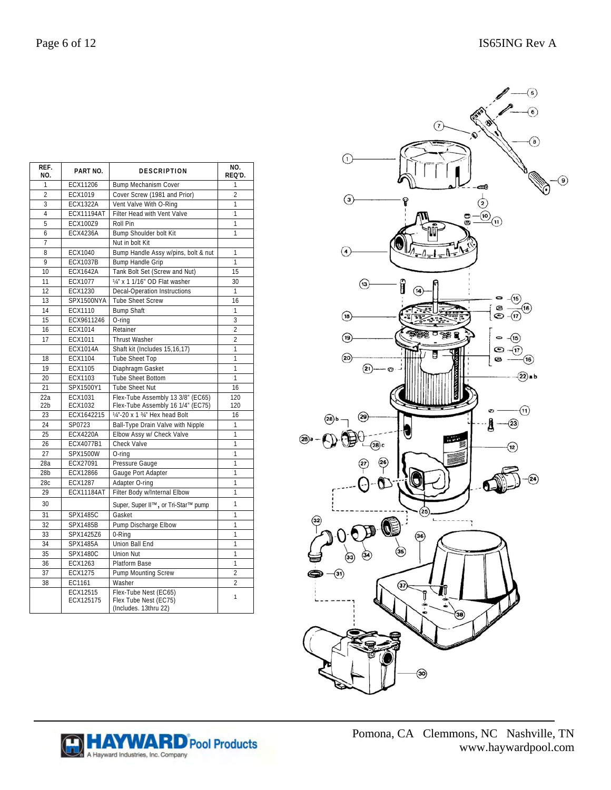| REF.<br>NO.     | PART NO.              | <b>DESCRIPTION</b>                                                      | NO.<br>REQ'D.            |
|-----------------|-----------------------|-------------------------------------------------------------------------|--------------------------|
| 1               | ECX11206              | <b>Bump Mechanism Cover</b>                                             | 1                        |
| $\overline{2}$  | ECX1019               | Cover Screw (1981 and Prior)                                            | $\overline{2}$           |
| 3               | <b>ECX1322A</b>       | Vent Valve With O-Ring                                                  | 1                        |
| $\overline{4}$  | <b>ECX11194AT</b>     | Filter Head with Vent Valve                                             | 1                        |
| 5               | ECX100Z9              | Roll Pin                                                                | 1                        |
| 6               | <b>ECX4236A</b>       | Bump Shoulder bolt Kit                                                  | 1                        |
| 7               |                       | Nut in bolt Kit                                                         |                          |
| 8               | ECX1040               | Bump Handle Assy w/pins, bolt & nut                                     | 1                        |
| 9               | <b>ECX1037B</b>       | Bump Handle Grip                                                        | 1                        |
| 10              | <b>FCX1642A</b>       | Tank Bolt Set (Screw and Nut)                                           | 15                       |
| 11              | ECX1077               | 14" x 1 1/16" OD Flat washer                                            | 30                       |
| 12              | ECX1230               | <b>Decal-Operation Instructions</b>                                     | 1                        |
| 13              | SPX1500NYA            | <b>Tube Sheet Screw</b>                                                 | 16                       |
| 14              | ECX1110               | <b>Bump Shaft</b>                                                       | 1                        |
| 15              | ECX9611246            | O-ring                                                                  | 3                        |
| 16              | ECX1014               | Retainer                                                                | $\overline{\phantom{a}}$ |
| 17              | ECX1011               | <b>Thrust Washer</b>                                                    | $\overline{2}$           |
|                 | <b>ECX1014A</b>       | Shaft kit (Includes 15,16,17)                                           | 1                        |
| 18              | ECX1104               | <b>Tube Sheet Top</b>                                                   | 1                        |
| 19              | ECX1105               | Diaphragm Gasket                                                        | 1                        |
| 20              | ECX1103               | <b>Tube Sheet Bottom</b>                                                | 1                        |
| 21              | SPX1500Y1             | <b>Tube Sheet Nut</b>                                                   | 16                       |
| 22a             | ECX1031               | Flex-Tube Assembly 13 3/8" (EC65)                                       | 120                      |
| 22 <sub>b</sub> | ECX1032               | Flex-Tube Assembly 16 1/4" (EC75)                                       | 120                      |
| 23              | ECX1642215            | 1/4"-20 x 1 3/4" Hex head Bolt                                          | 16                       |
| 24              | SP0723                | Ball-Type Drain Valve with Nipple                                       | 1                        |
| 25              | <b>ECX4220A</b>       | Elbow Assy w/ Check Valve                                               | 1                        |
| 26              | ECX4077B1             | Check Valve                                                             | 1                        |
| 27              | SPX1500W              | O-ring                                                                  | 1                        |
| 28a             | ECX27091              | Pressure Gauge                                                          | 1                        |
| 28 <sub>b</sub> | ECX12866              | Gauge Port Adapter                                                      | 1                        |
| 28c             | <b>ECX1287</b>        | Adapter O-ring                                                          | 1                        |
| 29              | <b>ECX11184AT</b>     | Filter Body w/Internal Elbow                                            | $\mathbf{1}$             |
| 30              |                       | Super, Super II™, or Tri-Star™ pump                                     | 1                        |
| 31              | SPX1485C              | Gasket                                                                  | 1                        |
| 32              | <b>SPX1485B</b>       | Pump Discharge Elbow                                                    | 1                        |
| 33              | SPX1425Z6             | 0-Ring                                                                  | 1                        |
| 34              | <b>SPX1485A</b>       | Union Ball End                                                          | 1                        |
| 35              | SPX1480C              | <b>Union Nut</b>                                                        | 1                        |
| 36              | ECX1263               | Platform Base                                                           | 1                        |
| 37              | ECX1275               | Pump Mounting Screw                                                     | $\overline{2}$           |
| 38              | EC1161                | Washer                                                                  | $\overline{\phantom{a}}$ |
|                 | ECX12515<br>ECX125175 | Flex-Tube Nest (EC65)<br>Flex Tube Nest (EC75)<br>(Includes. 13thru 22) | 1                        |



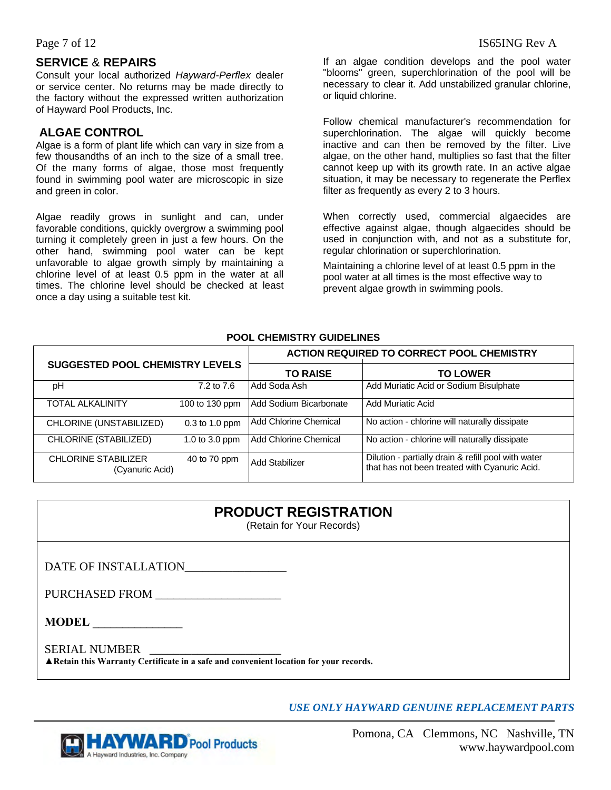#### **SERVICE** & **REPAIRS**

Consult your local authorized *Hayward-Perflex* dealer or service center. No returns may be made directly to the factory without the expressed written authorization of Hayward Pool Products, Inc.

#### **ALGAE CONTROL**

Algae is a form of plant life which can vary in size from a few thousandths of an inch to the size of a small tree. Of the many forms of algae, those most frequently found in swimming pool water are microscopic in size and green in color.

Algae readily grows in sunlight and can, under favorable conditions, quickly overgrow a swimming pool turning it completely green in just a few hours. On the other hand, swimming pool water can be kept unfavorable to algae growth simply by maintaining a chlorine level of at least 0.5 ppm in the water at all times. The chlorine level should be checked at least once a day using a suitable test kit.

If an algae condition develops and the pool water "blooms" green, superchlorination of the pool will be necessary to clear it. Add unstabilized granular chlorine, or liquid chlorine.

Follow chemical manufacturer's recommendation for superchlorination. The algae will quickly become inactive and can then be removed by the filter. Live algae, on the other hand, multiplies so fast that the filter cannot keep up with its growth rate. In an active algae situation, it may be necessary to regenerate the Perflex filter as frequently as every 2 to 3 hours.

When correctly used, commercial algaecides are effective against algae, though algaecides should be used in conjunction with, and not as a substitute for, regular chlorination or superchlorination.

Maintaining a chlorine level of at least 0.5 ppm in the pool water at all times is the most effective way to prevent algae growth in swimming pools.

#### **POOL CHEMISTRY GUIDELINES**

| <b>SUGGESTED POOL CHEMISTRY LEVELS</b>        |                  | <b>ACTION REQUIRED TO CORRECT POOL CHEMISTRY</b> |                                                                                                      |
|-----------------------------------------------|------------------|--------------------------------------------------|------------------------------------------------------------------------------------------------------|
|                                               |                  | <b>TO RAISE</b>                                  | <b>TO LOWER</b>                                                                                      |
| рH                                            | 7.2 to 7.6       | Add Soda Ash                                     | Add Muriatic Acid or Sodium Bisulphate                                                               |
| <b>TOTAL ALKALINITY</b>                       | 100 to 130 ppm   | Add Sodium Bicarbonate                           | Add Muriatic Acid                                                                                    |
| CHLORINE (UNSTABILIZED)                       | $0.3$ to 1.0 ppm | <b>Add Chlorine Chemical</b>                     | No action - chlorine will naturally dissipate                                                        |
| CHLORINE (STABILIZED)                         | 1.0 to 3.0 ppm   | Add Chlorine Chemical                            | No action - chlorine will naturally dissipate                                                        |
| <b>CHLORINE STABILIZER</b><br>(Cyanuric Acid) | 40 to 70 ppm     | Add Stabilizer                                   | Dilution - partially drain & refill pool with water<br>that has not been treated with Cyanuric Acid. |

| <b>PRODUCT REGISTRATION</b><br>(Retain for Your Records)                                                |  |  |
|---------------------------------------------------------------------------------------------------------|--|--|
| DATE OF INSTALLATION                                                                                    |  |  |
| PURCHASED FROM                                                                                          |  |  |
| <b>MODEL</b><br><u> 1980 - Jan Samuel Barbara, político e a f</u>                                       |  |  |
| SERIAL NUMBER<br>A Retain this Warranty Certificate in a safe and convenient location for your records. |  |  |

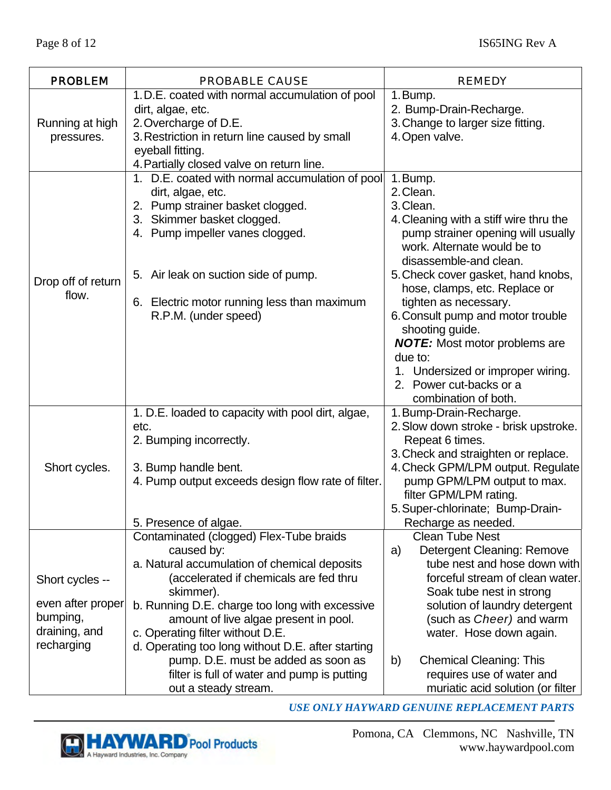| <b>PROBLEM</b>                | <b>PROBABLE CAUSE</b>                                                                                                                                                     | <b>REMEDY</b>                                                                                                                                     |
|-------------------------------|---------------------------------------------------------------------------------------------------------------------------------------------------------------------------|---------------------------------------------------------------------------------------------------------------------------------------------------|
|                               | 1. D.E. coated with normal accumulation of pool<br>dirt, algae, etc.                                                                                                      | 1. Bump.<br>2. Bump-Drain-Recharge.                                                                                                               |
| Running at high<br>pressures. | 2. Overcharge of D.E.<br>3. Restriction in return line caused by small<br>eyeball fitting.                                                                                | 3. Change to larger size fitting.<br>4. Open valve.                                                                                               |
|                               | 4. Partially closed valve on return line.                                                                                                                                 |                                                                                                                                                   |
|                               | 1. D.E. coated with normal accumulation of pool<br>dirt, algae, etc.<br>2. Pump strainer basket clogged.<br>3. Skimmer basket clogged.<br>4. Pump impeller vanes clogged. | 1. Bump.<br>2. Clean.<br>3. Clean.<br>4. Cleaning with a stiff wire thru the<br>pump strainer opening will usually<br>work. Alternate would be to |
| Drop off of return            | 5. Air leak on suction side of pump.                                                                                                                                      | disassemble-and clean.<br>5. Check cover gasket, hand knobs,<br>hose, clamps, etc. Replace or                                                     |
| flow.                         | Electric motor running less than maximum<br>6.<br>R.P.M. (under speed)                                                                                                    | tighten as necessary.<br>6. Consult pump and motor trouble<br>shooting guide.<br><b>NOTE:</b> Most motor problems are<br>due to:                  |
|                               |                                                                                                                                                                           | 1. Undersized or improper wiring.<br>2. Power cut-backs or a<br>combination of both.                                                              |
|                               | 1. D.E. loaded to capacity with pool dirt, algae,                                                                                                                         | 1. Bump-Drain-Recharge.                                                                                                                           |
|                               | etc.<br>2. Bumping incorrectly.                                                                                                                                           | 2. Slow down stroke - brisk upstroke.<br>Repeat 6 times.                                                                                          |
|                               |                                                                                                                                                                           | 3. Check and straighten or replace.                                                                                                               |
| Short cycles.                 | 3. Bump handle bent.<br>4. Pump output exceeds design flow rate of filter.                                                                                                | 4. Check GPM/LPM output. Regulate<br>pump GPM/LPM output to max.<br>filter GPM/LPM rating.                                                        |
|                               |                                                                                                                                                                           | 5. Super-chlorinate; Bump-Drain-                                                                                                                  |
|                               | 5. Presence of algae.                                                                                                                                                     | Recharge as needed.                                                                                                                               |
|                               | Contaminated (clogged) Flex-Tube braids<br>caused by:                                                                                                                     | <b>Clean Tube Nest</b><br>Detergent Cleaning: Remove<br>a)                                                                                        |
| Short cycles --               | a. Natural accumulation of chemical deposits<br>(accelerated if chemicals are fed thru<br>skimmer).                                                                       | tube nest and hose down with<br>forceful stream of clean water.<br>Soak tube nest in strong                                                       |
| even after proper             | b. Running D.E. charge too long with excessive                                                                                                                            | solution of laundry detergent                                                                                                                     |
| bumping,<br>draining, and     | amount of live algae present in pool.                                                                                                                                     | (such as <i>Cheer</i> ) and warm                                                                                                                  |
| recharging                    | c. Operating filter without D.E.<br>d. Operating too long without D.E. after starting                                                                                     | water. Hose down again.                                                                                                                           |
|                               | pump. D.E. must be added as soon as<br>filter is full of water and pump is putting<br>out a steady stream.                                                                | <b>Chemical Cleaning: This</b><br>b)<br>requires use of water and<br>muriatic acid solution (or filter                                            |

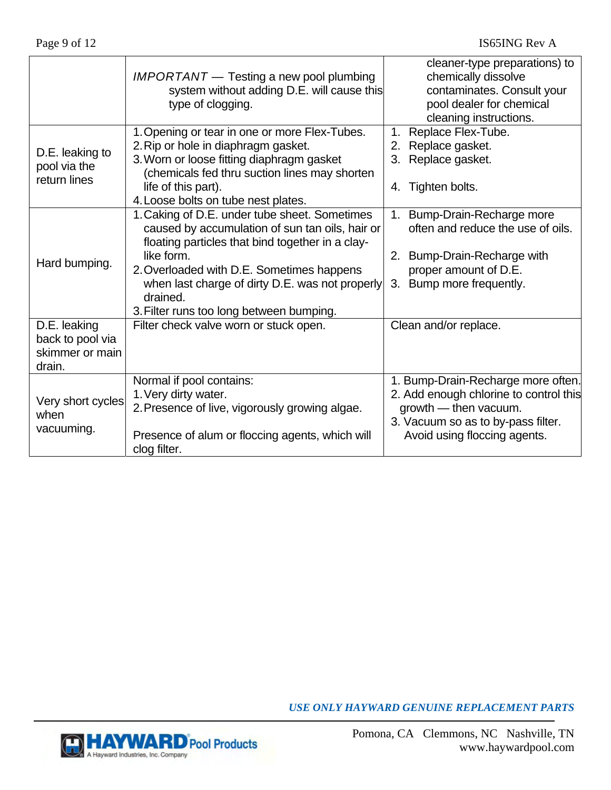|                                                               | $IMPORTANT$ — Testing a new pool plumbing<br>system without adding D.E. will cause this<br>type of clogging.                                                                                                                                                                                                               | cleaner-type preparations) to<br>chemically dissolve<br>contaminates. Consult your<br>pool dealer for chemical<br>cleaning instructions.                                    |
|---------------------------------------------------------------|----------------------------------------------------------------------------------------------------------------------------------------------------------------------------------------------------------------------------------------------------------------------------------------------------------------------------|-----------------------------------------------------------------------------------------------------------------------------------------------------------------------------|
| D.E. leaking to<br>pool via the<br>return lines               | 1. Opening or tear in one or more Flex-Tubes.<br>2. Rip or hole in diaphragm gasket.<br>3. Worn or loose fitting diaphragm gasket<br>(chemicals fed thru suction lines may shorten<br>life of this part).<br>4. Loose bolts on tube nest plates.                                                                           | Replace Flex-Tube.<br>1.<br>2. Replace gasket.<br>3. Replace gasket.<br>4. Tighten bolts.                                                                                   |
| Hard bumping.                                                 | 1. Caking of D.E. under tube sheet. Sometimes<br>caused by accumulation of sun tan oils, hair or<br>floating particles that bind together in a clay-<br>like form.<br>2. Overloaded with D.E. Sometimes happens<br>when last charge of dirty D.E. was not properly<br>drained.<br>3. Filter runs too long between bumping. | 1. Bump-Drain-Recharge more<br>often and reduce the use of oils.<br>2. Bump-Drain-Recharge with<br>proper amount of D.E.<br>3. Bump more frequently.                        |
| D.E. leaking<br>back to pool via<br>skimmer or main<br>drain. | Filter check valve worn or stuck open.                                                                                                                                                                                                                                                                                     | Clean and/or replace.                                                                                                                                                       |
| Very short cycles<br>when<br>vacuuming.                       | Normal if pool contains:<br>1. Very dirty water.<br>2. Presence of live, vigorously growing algae.<br>Presence of alum or floccing agents, which will<br>clog filter.                                                                                                                                                      | 1. Bump-Drain-Recharge more often.<br>2. Add enough chlorine to control this<br>growth - then vacuum.<br>3. Vacuum so as to by-pass filter.<br>Avoid using floccing agents. |

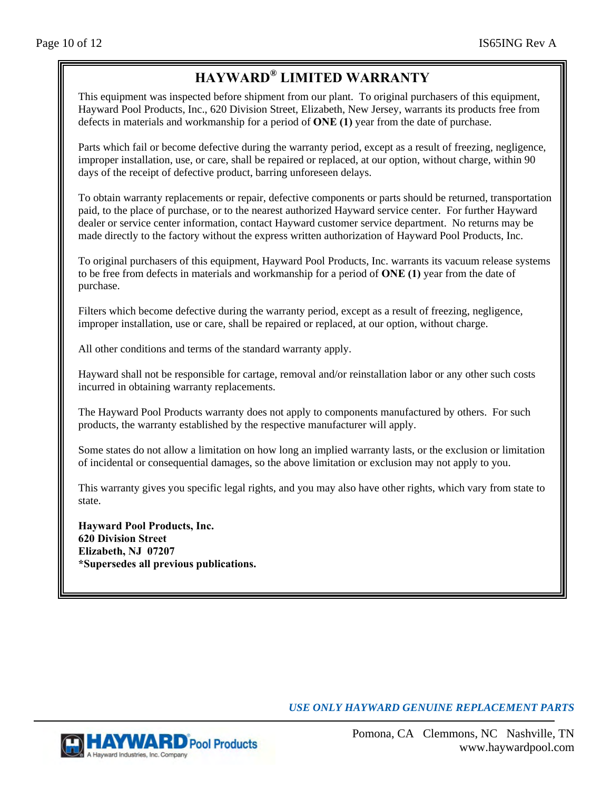# **HAYWARD® LIMITED WARRANTY**

This equipment was inspected before shipment from our plant. To original purchasers of this equipment, Hayward Pool Products, Inc., 620 Division Street, Elizabeth, New Jersey, warrants its products free from defects in materials and workmanship for a period of **ONE (1)** year from the date of purchase.

Parts which fail or become defective during the warranty period, except as a result of freezing, negligence, improper installation, use, or care, shall be repaired or replaced, at our option, without charge, within 90 days of the receipt of defective product, barring unforeseen delays.

To obtain warranty replacements or repair, defective components or parts should be returned, transportation paid, to the place of purchase, or to the nearest authorized Hayward service center. For further Hayward dealer or service center information, contact Hayward customer service department. No returns may be made directly to the factory without the express written authorization of Hayward Pool Products, Inc.

To original purchasers of this equipment, Hayward Pool Products, Inc. warrants its vacuum release systems to be free from defects in materials and workmanship for a period of **ONE (1)** year from the date of purchase.

Filters which become defective during the warranty period, except as a result of freezing, negligence, improper installation, use or care, shall be repaired or replaced, at our option, without charge.

All other conditions and terms of the standard warranty apply.

Hayward shall not be responsible for cartage, removal and/or reinstallation labor or any other such costs incurred in obtaining warranty replacements.

The Hayward Pool Products warranty does not apply to components manufactured by others. For such products, the warranty established by the respective manufacturer will apply.

Some states do not allow a limitation on how long an implied warranty lasts, or the exclusion or limitation of incidental or consequential damages, so the above limitation or exclusion may not apply to you.

This warranty gives you specific legal rights, and you may also have other rights, which vary from state to state.

**Hayward Pool Products, Inc. 620 Division Street Elizabeth, NJ 07207 \*Supersedes all previous publications.**

*USE ONLY HAYWARD GENUINE REPLACEMENT PARTS* 

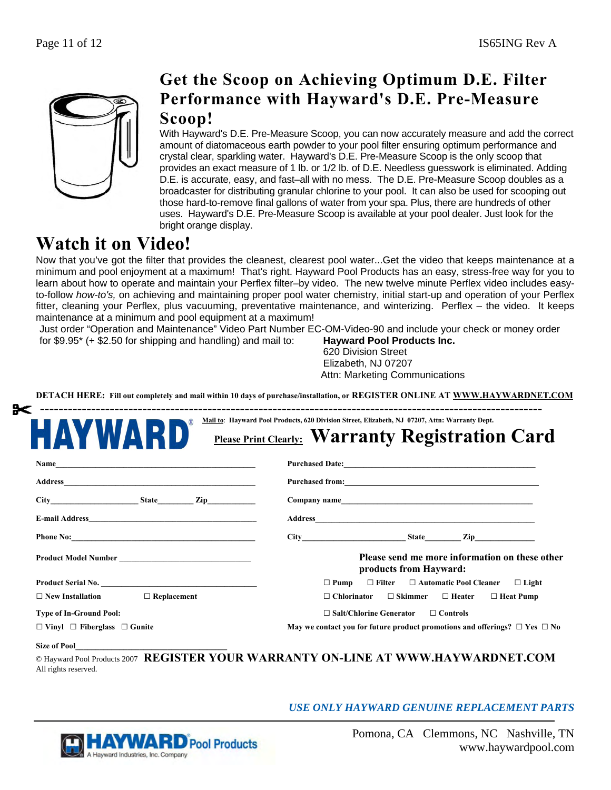

# **Get the Scoop on Achieving Optimum D.E. Filter Performance with Hayward's D.E. Pre-Measure Scoop!**

With Hayward's D.E. Pre-Measure Scoop, you can now accurately measure and add the correct amount of diatomaceous earth powder to your pool filter ensuring optimum performance and crystal clear, sparkling water. Hayward's D.E. Pre-Measure Scoop is the only scoop that provides an exact measure of 1 lb. or 1/2 lb. of D.E. Needless guesswork is eliminated. Adding D.E. is accurate, easy, and fast–all with no mess. The D.E. Pre-Measure Scoop doubles as a broadcaster for distributing granular chlorine to your pool. It can also be used for scooping out those hard-to-remove final gallons of water from your spa. Plus, there are hundreds of other uses. Hayward's D.E. Pre-Measure Scoop is available at your pool dealer. Just look for the bright orange display.

# **Watch it on Video!**

Now that you've got the filter that provides the cleanest, clearest pool water...Get the video that keeps maintenance at a minimum and pool enjoyment at a maximum! That's right. Hayward Pool Products has an easy, stress-free way for you to learn about how to operate and maintain your Perflex filter–by video. The new twelve minute Perflex video includes easyto-follow *how-to's,* on achieving and maintaining proper pool water chemistry, initial start-up and operation of your Perflex fitter, cleaning your Perflex, plus vacuuming, preventative maintenance, and winterizing. Perflex – the video. It keeps maintenance at a minimum and pool equipment at a maximum!

Just order "Operation and Maintenance" Video Part Number EC-OM-Video-90 and include your check or money order

for \$9.95\* (+ \$2.50 for shipping and handling) and mail to: **Hayward Pool Products Inc.**

620 Division Street Elizabeth, NJ 07207 Attn: Marketing Communications

**DETACH HERE: Fill out completely and mail within 10 days of purchase/installation, or REGISTER ONLINE AT WWW.HAYWARDNET.COM**

| HAYWARI                                                                                                                                                                                                                            | <b>Please Print Clearly: Warranty Registration Card</b>                                                                                                                                                                        |  |
|------------------------------------------------------------------------------------------------------------------------------------------------------------------------------------------------------------------------------------|--------------------------------------------------------------------------------------------------------------------------------------------------------------------------------------------------------------------------------|--|
|                                                                                                                                                                                                                                    |                                                                                                                                                                                                                                |  |
|                                                                                                                                                                                                                                    | Purchased from: Note and the set of the set of the set of the set of the set of the set of the set of the set of the set of the set of the set of the set of the set of the set of the set of the set of the set of the set of |  |
|                                                                                                                                                                                                                                    |                                                                                                                                                                                                                                |  |
|                                                                                                                                                                                                                                    |                                                                                                                                                                                                                                |  |
|                                                                                                                                                                                                                                    | $City$ $City$ $State$ $Zip$                                                                                                                                                                                                    |  |
|                                                                                                                                                                                                                                    | Please send me more information on these other<br>products from Hayward:                                                                                                                                                       |  |
| <b>Product Serial No.</b> The same of the same of the same of the same of the same of the same of the same of the same of the same of the same of the same of the same of the same of the same of the same of the same of the same | $\Box$ Pump $\Box$ Filter $\Box$ Automatic Pool Cleaner $\Box$ Light                                                                                                                                                           |  |
| $\Box$ New Installation $\Box$ Replacement                                                                                                                                                                                         | $\Box$ Chlorinator $\Box$ Skimmer $\Box$ Heater $\Box$ Heat Pump                                                                                                                                                               |  |
| <b>Type of In-Ground Pool:</b>                                                                                                                                                                                                     | $\Box$ Salt/Chlorine Generator $\Box$ Controls                                                                                                                                                                                 |  |
| $\Box$ Vinyl $\Box$ Fiberglass $\Box$ Gunite                                                                                                                                                                                       | May we contact you for future product promotions and offerings? $\Box$ Yes $\Box$ No                                                                                                                                           |  |

All rights reserved.